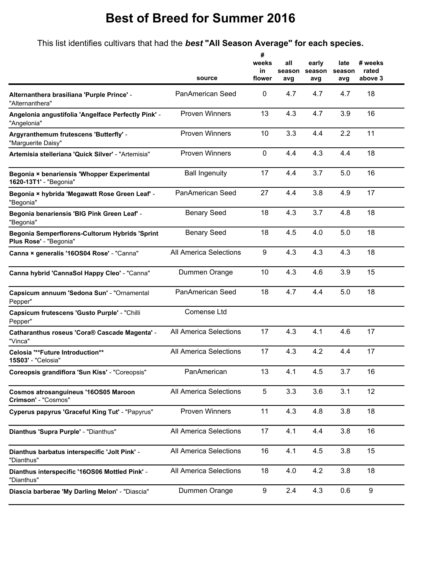## **Best of Breed for Summer 2016**

This list identifies cultivars that had the *best* **"All Season Average" for each species.**

|                                                                          |                               | #<br>weeks<br>in | all<br>season | early<br>season | late<br>season | # weeks<br>rated |
|--------------------------------------------------------------------------|-------------------------------|------------------|---------------|-----------------|----------------|------------------|
|                                                                          | source                        | flower           | avg           | avg             | avg            | above 3          |
| Alternanthera brasiliana 'Purple Prince' -<br>"Alternanthera"            | <b>PanAmerican Seed</b>       | 0                | 4.7           | 4.7             | 4.7            | 18               |
| Angelonia angustifolia 'Angelface Perfectly Pink' -<br>"Angelonia"       | <b>Proven Winners</b>         | 13               | 4.3           | 4.7             | 3.9            | 16               |
| Argyranthemum frutescens 'Butterfly' -<br>"Marguerite Daisy"             | <b>Proven Winners</b>         | 10               | 3.3           | 4.4             | 2.2            | 11               |
| Artemisia stelleriana 'Quick Silver' - "Artemisia"                       | <b>Proven Winners</b>         | 0                | 4.4           | 4.3             | 4.4            | 18               |
| Begonia × benariensis 'Whopper Experimental<br>1620-13T1' - "Begonia"    | <b>Ball Ingenuity</b>         | 17               | 4.4           | 3.7             | 5.0            | 16               |
| Begonia × hybrida 'Megawatt Rose Green Leaf' -<br>"Begonia"              | <b>PanAmerican Seed</b>       | 27               | 4.4           | 3.8             | 4.9            | 17               |
| Begonia benariensis 'BIG Pink Green Leaf' -<br>"Begonia"                 | <b>Benary Seed</b>            | 18               | 4.3           | 3.7             | 4.8            | 18               |
| Begonia Semperflorens-Cultorum Hybrids 'Sprint<br>Plus Rose' - "Begonia" | <b>Benary Seed</b>            | 18               | 4.5           | 4.0             | 5.0            | 18               |
| Canna × generalis '16OS04 Rose' - "Canna"                                | <b>All America Selections</b> | 9                | 4.3           | 4.3             | 4.3            | 18               |
| Canna hybrid 'CannaSol Happy Cleo' - "Canna"                             | Dummen Orange                 | 10               | 4.3           | 4.6             | 3.9            | 15               |
| Capsicum annuum 'Sedona Sun' - "Ornamental<br>Pepper"                    | PanAmerican Seed              | 18               | 4.7           | 4.4             | 5.0            | 18               |
| Capsicum frutescens 'Gusto Purple' - "Chilli<br>Pepper"                  | <b>Comense Ltd</b>            |                  |               |                 |                |                  |
| Catharanthus roseus 'Cora® Cascade Magenta' -<br>"Vinca"                 | <b>All America Selections</b> | 17               | 4.3           | 4.1             | 4.6            | 17               |
| <b>Celosia "**Future Introduction**</b><br>15S03' - "Celosia"            | All America Selections        | 17               | 4.3           | 4.2             | 4.4            | 17               |
| Coreopsis grandiflora 'Sun Kiss' - "Coreopsis"                           | PanAmerican                   | 13               | 4.1           | 4.5             | 3.7            | 16               |
| Cosmos atrosanguineus '16OS05 Maroon<br>Crimson' - "Cosmos"              | <b>All America Selections</b> | 5                | 3.3           | 3.6             | 3.1            | 12               |
| Cyperus papyrus 'Graceful King Tut' - "Papyrus"                          | <b>Proven Winners</b>         | 11               | 4.3           | 4.8             | 3.8            | 18               |
| Dianthus 'Supra Purple' - "Dianthus"                                     | <b>All America Selections</b> | 17               | 4.1           | 4.4             | 3.8            | 16               |
| Dianthus barbatus interspecific 'Jolt Pink' -<br>"Dianthus"              | <b>All America Selections</b> | 16               | 4.1           | 4.5             | 3.8            | 15               |
| Dianthus interspecific '16OS06 Mottled Pink' -<br>"Dianthus"             | All America Selections        | 18               | 4.0           | 4.2             | 3.8            | 18               |
| Diascia barberae 'My Darling Melon' - "Diascia"                          | Dummen Orange                 | 9                | 2.4           | 4.3             | 0.6            | $\boldsymbol{9}$ |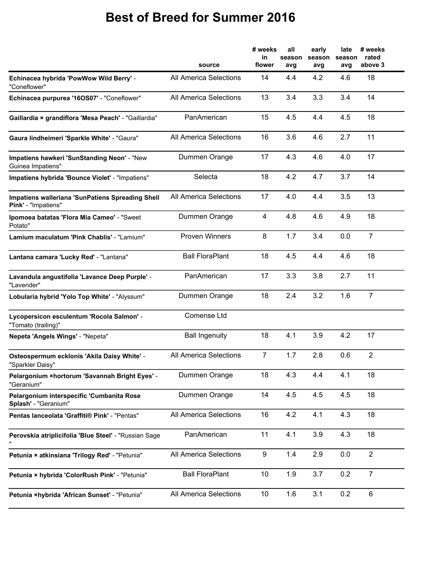## **Best of Breed for Summer 2016**

|                                                                         | source                        | # weeks<br>in<br>flower | all<br>season<br>avg | early<br>season<br>avg | late<br>season<br>avg | # weeks<br>rated<br>above 3 |
|-------------------------------------------------------------------------|-------------------------------|-------------------------|----------------------|------------------------|-----------------------|-----------------------------|
| Echinacea hybrida 'PowWow Wild Berry' -<br>"Coneflower"                 | <b>All America Selections</b> | 14                      | 4.4                  | 4.2                    | 4.6                   | 18                          |
| Echinacea purpurea '16OS07' - "Coneflower"                              | <b>All America Selections</b> | 13                      | 3.4                  | 3.3                    | 3.4                   | 14                          |
| Gaillardia × grandiflora 'Mesa Peach' - "Gaillardia"                    | PanAmerican                   | 15                      | 4.5                  | 4.4                    | 4.5                   | 18                          |
| Gaura lindheimeri 'Sparkle White' - "Gaura"                             | <b>All America Selections</b> | 16                      | 3.6                  | 4.6                    | 2.7                   | 11                          |
| Impatiens hawkeri 'SunStanding Neon' - "New<br>Guinea Impatiens"        | Dummen Orange                 | 17                      | 4.3                  | 4.6                    | 4.0                   | 17                          |
| Impatiens hybrida 'Bounce Violet' - "Impatiens"                         | Selecta                       | 18                      | 4.2                  | 4.7                    | 3.7                   | 14                          |
| Impatiens walleriana 'SunPatiens Spreading Shell<br>Pink' - "Impatiens" | <b>All America Selections</b> | 17                      | 4.0                  | 4.4                    | 3.5                   | 13                          |
| Ipomoea batatas 'Flora Mia Cameo' - "Sweet<br>Potato"                   | Dummen Orange                 | 4                       | 4.8                  | 4.6                    | 4.9                   | 18                          |
| Lamium maculatum 'Pink Chablis' - "Lamium"                              | <b>Proven Winners</b>         | 8                       | 1.7                  | 3.4                    | 0.0                   | $\overline{7}$              |
| Lantana camara 'Lucky Red' - "Lantana"                                  | <b>Ball FloraPlant</b>        | 18                      | 4.5                  | 4.4                    | 4.6                   | 18                          |
| Lavandula angustifolia 'Lavance Deep Purple' -<br>"Lavender"            | PanAmerican                   | 17                      | 3.3                  | 3.8                    | 2.7                   | 11                          |
| Lobularia hybrid 'Yolo Top White' - "Alyssum"                           | Dummen Orange                 | 18                      | 2.4                  | 3.2                    | 1.6                   | $\overline{7}$              |
| Lycopersicon esculentum 'Rocola Salmon' -<br>"Tomato (trailing)"        | <b>Comense Ltd</b>            |                         |                      |                        |                       |                             |
| Nepeta 'Angels Wings' - "Nepeta"                                        | <b>Ball Ingenuity</b>         | 18                      | 4.1                  | 3.9                    | 4.2                   | 17                          |
| Osteospermum ecklonis 'Akila Daisy White' -<br>"Sparkler Daisy"         | <b>All America Selections</b> | $\overline{7}$          | 1.7                  | 2.8                    | 0.6                   | $\overline{2}$              |
| Pelargonium × hortorum 'Savannah Bright Eyes' -<br>"Geranium"           | Dummen Orange                 | 18                      | 4.3                  | 4.4                    | 4.1                   | 18                          |
| Pelargonium interspecific 'Cumbanita Rose<br>Splash' - "Geranium"       | Dummen Orange                 | 14                      | 4.5                  | 4.5                    | 4.5                   | 18                          |
| Pentas Ianceolata 'Graffiti® Pink' - "Pentas"                           | All America Selections        | 16                      | 4.2                  | 4.1                    | 4.3                   | 18                          |
| Perovskia atriplicifolia 'Blue Steel' - "Russian Sage                   | PanAmerican                   | 11                      | 4.1                  | 3.9                    | 4.3                   | 18                          |
| Petunia × atkinsiana 'Trilogy Red' - "Petunia"                          | All America Selections        | 9                       | 1.4                  | 2.9                    | 0.0                   | $\overline{2}$              |
| Petunia × hybrida 'ColorRush Pink' - "Petunia"                          | <b>Ball FloraPlant</b>        | 10                      | 1.9                  | 3.7                    | 0.2                   | $\overline{7}$              |
| Petunia ×hybrida 'African Sunset' - "Petunia"                           | <b>All America Selections</b> | 10                      | 1.6                  | 3.1                    | 0.2                   | $\,6$                       |